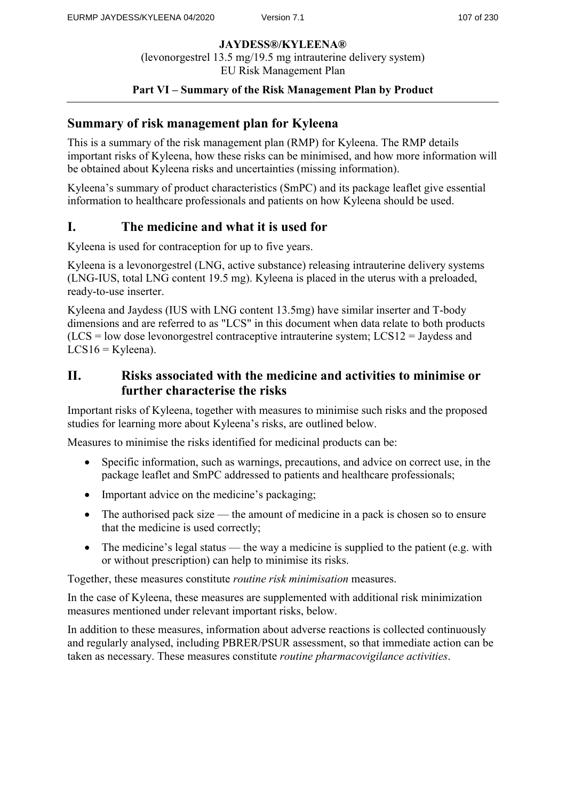## **Part VI – Summary of the Risk Management Plan by Product**

# **Summary of risk management plan for Kyleena**

This is a summary of the risk management plan (RMP) for Kyleena. The RMP details important risks of Kyleena, how these risks can be minimised, and how more information will be obtained about Kyleena risks and uncertainties (missing information).

Kyleena's summary of product characteristics (SmPC) and its package leaflet give essential information to healthcare professionals and patients on how Kyleena should be used.

# **I. The medicine and what it is used for**

Kyleena is used for contraception for up to five years.

Kyleena is a levonorgestrel (LNG, active substance) releasing intrauterine delivery systems (LNG-IUS, total LNG content 19.5 mg). Kyleena is placed in the uterus with a preloaded, ready-to-use inserter.

Kyleena and Jaydess (IUS with LNG content 13.5mg) have similar inserter and T-body dimensions and are referred to as "LCS" in this document when data relate to both products (LCS = low dose levonorgestrel contraceptive intrauterine system; LCS12 = Jaydess and  $LCS16 = Kyleena$ .

# **II. Risks associated with the medicine and activities to minimise or further characterise the risks**

Important risks of Kyleena, together with measures to minimise such risks and the proposed studies for learning more about Kyleena's risks, are outlined below.

Measures to minimise the risks identified for medicinal products can be:

- Specific information, such as warnings, precautions, and advice on correct use, in the package leaflet and SmPC addressed to patients and healthcare professionals;
- Important advice on the medicine's packaging;
- The authorised pack size the amount of medicine in a pack is chosen so to ensure that the medicine is used correctly;
- The medicine's legal status the way a medicine is supplied to the patient (e.g. with or without prescription) can help to minimise its risks.

Together, these measures constitute *routine risk minimisation* measures.

In the case of Kyleena, these measures are supplemented with additional risk minimization measures mentioned under relevant important risks, below.

In addition to these measures, information about adverse reactions is collected continuously and regularly analysed, including PBRER/PSUR assessment, so that immediate action can be taken as necessary. These measures constitute *routine pharmacovigilance activities*.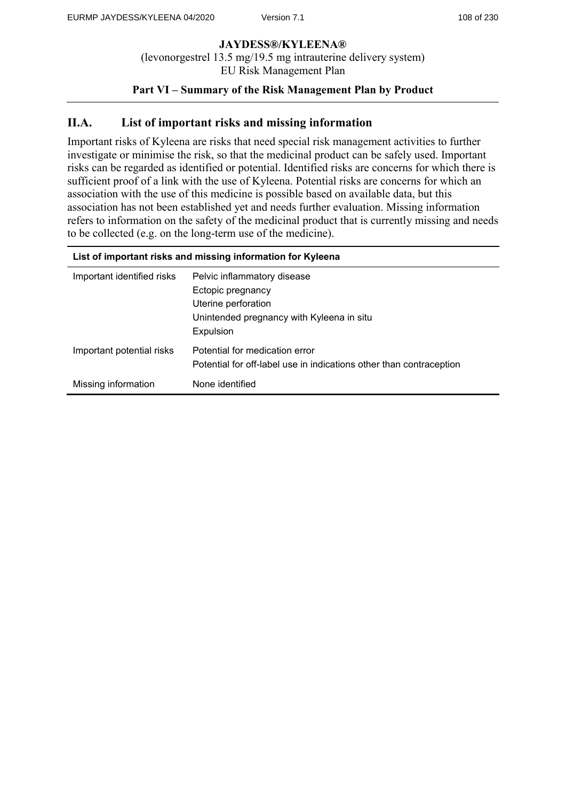## **Part VI – Summary of the Risk Management Plan by Product**

# **II.A. List of important risks and missing information**

Important risks of Kyleena are risks that need special risk management activities to further investigate or minimise the risk, so that the medicinal product can be safely used. Important risks can be regarded as identified or potential. Identified risks are concerns for which there is sufficient proof of a link with the use of Kyleena. Potential risks are concerns for which an association with the use of this medicine is possible based on available data, but this association has not been established yet and needs further evaluation. Missing information refers to information on the safety of the medicinal product that is currently missing and needs to be collected (e.g. on the long-term use of the medicine).

| List of important risks and missing information for Kyleena |                                                                                                                                   |
|-------------------------------------------------------------|-----------------------------------------------------------------------------------------------------------------------------------|
| Important identified risks                                  | Pelvic inflammatory disease<br>Ectopic pregnancy<br>Uterine perforation<br>Unintended pregnancy with Kyleena in situ<br>Expulsion |
| Important potential risks                                   | Potential for medication error<br>Potential for off-label use in indications other than contraception                             |
| Missing information                                         | None identified                                                                                                                   |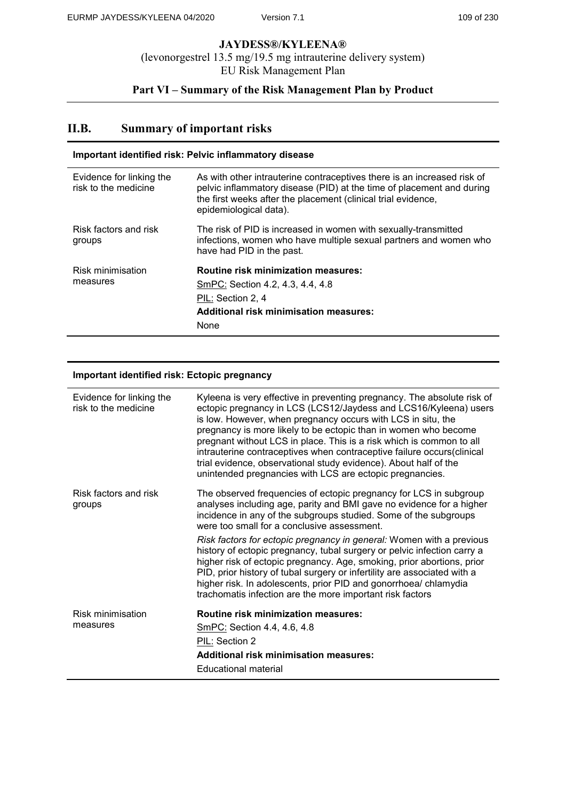# **Part VI – Summary of the Risk Management Plan by Product**

# **II.B. Summary of important risks**

| Important identified risk: Pelvic inflammatory disease |                                                                                                                                                                                                                                             |
|--------------------------------------------------------|---------------------------------------------------------------------------------------------------------------------------------------------------------------------------------------------------------------------------------------------|
| Evidence for linking the<br>risk to the medicine       | As with other intrauterine contraceptives there is an increased risk of<br>pelvic inflammatory disease (PID) at the time of placement and during<br>the first weeks after the placement (clinical trial evidence,<br>epidemiological data). |
| Risk factors and risk<br>groups                        | The risk of PID is increased in women with sexually-transmitted<br>infections, women who have multiple sexual partners and women who<br>have had PID in the past.                                                                           |
| Risk minimisation<br>measures                          | <b>Routine risk minimization measures:</b><br>SmPC: Section 4.2, 4.3, 4.4, 4.8<br>PIL: Section 2, 4<br><b>Additional risk minimisation measures:</b><br>None                                                                                |

#### **Important identified risk: Ectopic pregnancy**

| Evidence for linking the<br>risk to the medicine | Kyleena is very effective in preventing pregnancy. The absolute risk of<br>ectopic pregnancy in LCS (LCS12/Jaydess and LCS16/Kyleena) users<br>is low. However, when pregnancy occurs with LCS in situ, the<br>pregnancy is more likely to be ectopic than in women who become<br>pregnant without LCS in place. This is a risk which is common to all<br>intrauterine contraceptives when contraceptive failure occurs(clinical<br>trial evidence, observational study evidence). About half of the<br>unintended pregnancies with LCS are ectopic pregnancies. |
|--------------------------------------------------|------------------------------------------------------------------------------------------------------------------------------------------------------------------------------------------------------------------------------------------------------------------------------------------------------------------------------------------------------------------------------------------------------------------------------------------------------------------------------------------------------------------------------------------------------------------|
| Risk factors and risk<br>groups                  | The observed frequencies of ectopic pregnancy for LCS in subgroup<br>analyses including age, parity and BMI gave no evidence for a higher<br>incidence in any of the subgroups studied. Some of the subgroups<br>were too small for a conclusive assessment.                                                                                                                                                                                                                                                                                                     |
|                                                  | Risk factors for ectopic pregnancy in general: Women with a previous<br>history of ectopic pregnancy, tubal surgery or pelvic infection carry a<br>higher risk of ectopic pregnancy. Age, smoking, prior abortions, prior<br>PID, prior history of tubal surgery or infertility are associated with a<br>higher risk. In adolescents, prior PID and gonorrhoea/ chlamydia<br>trachomatis infection are the more important risk factors                                                                                                                           |
| Risk minimisation<br>measures                    | <b>Routine risk minimization measures:</b>                                                                                                                                                                                                                                                                                                                                                                                                                                                                                                                       |
|                                                  | SmPC: Section 4.4, 4.6, 4.8                                                                                                                                                                                                                                                                                                                                                                                                                                                                                                                                      |
|                                                  | PIL: Section 2                                                                                                                                                                                                                                                                                                                                                                                                                                                                                                                                                   |
|                                                  | <b>Additional risk minimisation measures:</b>                                                                                                                                                                                                                                                                                                                                                                                                                                                                                                                    |
|                                                  | Educational material                                                                                                                                                                                                                                                                                                                                                                                                                                                                                                                                             |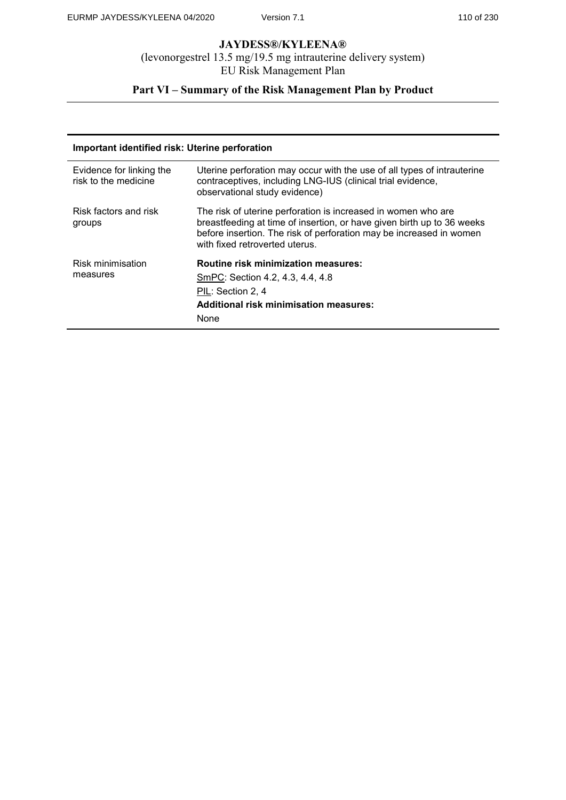# **Part VI – Summary of the Risk Management Plan by Product**

| Important identified risk: Uterine perforation   |                                                                                                                                                                                                                                                  |
|--------------------------------------------------|--------------------------------------------------------------------------------------------------------------------------------------------------------------------------------------------------------------------------------------------------|
| Evidence for linking the<br>risk to the medicine | Uterine perforation may occur with the use of all types of intrauterine<br>contraceptives, including LNG-IUS (clinical trial evidence,<br>observational study evidence)                                                                          |
| Risk factors and risk<br>groups                  | The risk of uterine perforation is increased in women who are<br>breastfeeding at time of insertion, or have given birth up to 36 weeks<br>before insertion. The risk of perforation may be increased in women<br>with fixed retroverted uterus. |
| Risk minimisation<br>measures                    | <b>Routine risk minimization measures:</b><br>SmPC: Section 4.2, 4.3, 4.4, 4.8<br>PIL: Section 2, 4<br><b>Additional risk minimisation measures:</b><br>None                                                                                     |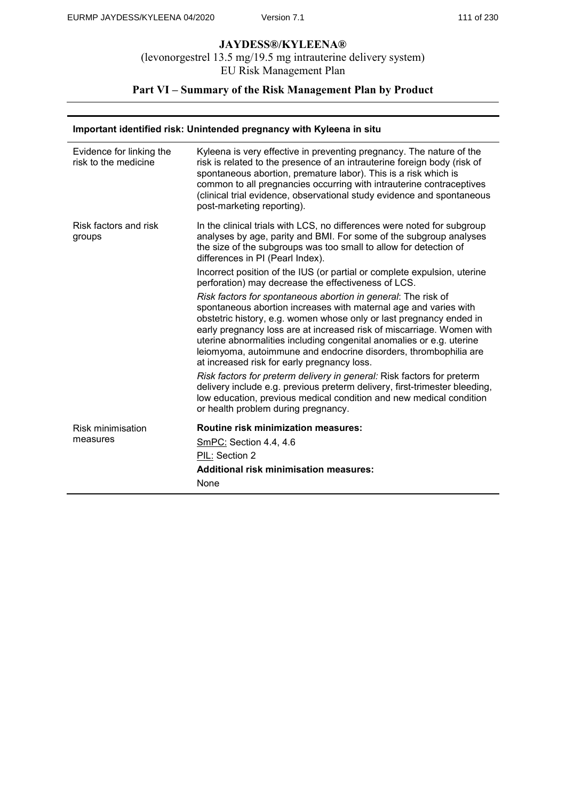# **Part VI – Summary of the Risk Management Plan by Product**

#### **Important identified risk: Unintended pregnancy with Kyleena in situ**

| Evidence for linking the<br>risk to the medicine | Kyleena is very effective in preventing pregnancy. The nature of the<br>risk is related to the presence of an intrauterine foreign body (risk of<br>spontaneous abortion, premature labor). This is a risk which is<br>common to all pregnancies occurring with intrauterine contraceptives<br>(clinical trial evidence, observational study evidence and spontaneous<br>post-marketing reporting).                                                                          |
|--------------------------------------------------|------------------------------------------------------------------------------------------------------------------------------------------------------------------------------------------------------------------------------------------------------------------------------------------------------------------------------------------------------------------------------------------------------------------------------------------------------------------------------|
| Risk factors and risk<br>groups                  | In the clinical trials with LCS, no differences were noted for subgroup<br>analyses by age, parity and BMI. For some of the subgroup analyses<br>the size of the subgroups was too small to allow for detection of<br>differences in PI (Pearl Index).                                                                                                                                                                                                                       |
|                                                  | Incorrect position of the IUS (or partial or complete expulsion, uterine<br>perforation) may decrease the effectiveness of LCS.                                                                                                                                                                                                                                                                                                                                              |
|                                                  | Risk factors for spontaneous abortion in general: The risk of<br>spontaneous abortion increases with maternal age and varies with<br>obstetric history, e.g. women whose only or last pregnancy ended in<br>early pregnancy loss are at increased risk of miscarriage. Women with<br>uterine abnormalities including congenital anomalies or e.g. uterine<br>leiomyoma, autoimmune and endocrine disorders, thrombophilia are<br>at increased risk for early pregnancy loss. |
|                                                  | Risk factors for preterm delivery in general: Risk factors for preterm<br>delivery include e.g. previous preterm delivery, first-trimester bleeding,<br>low education, previous medical condition and new medical condition<br>or health problem during pregnancy.                                                                                                                                                                                                           |
| Risk minimisation<br>measures                    | <b>Routine risk minimization measures:</b><br>SmPC: Section 4.4, 4.6<br>PIL: Section 2<br><b>Additional risk minimisation measures:</b><br>None                                                                                                                                                                                                                                                                                                                              |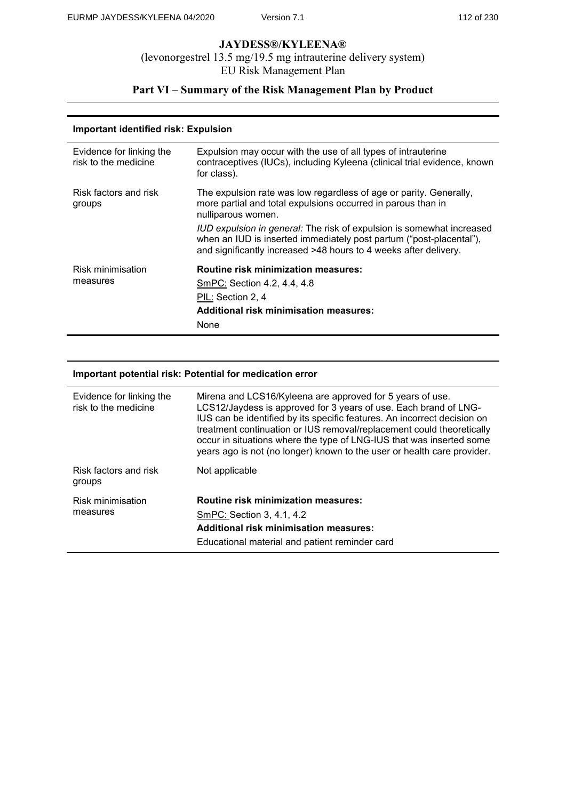# **Part VI – Summary of the Risk Management Plan by Product**

#### **Important identified risk: Expulsion**

| Evidence for linking the<br>risk to the medicine | Expulsion may occur with the use of all types of intrauterine<br>contraceptives (IUCs), including Kyleena (clinical trial evidence, known<br>for class).                                                                                                                                                                                                                     |
|--------------------------------------------------|------------------------------------------------------------------------------------------------------------------------------------------------------------------------------------------------------------------------------------------------------------------------------------------------------------------------------------------------------------------------------|
| Risk factors and risk<br>groups                  | The expulsion rate was low regardless of age or parity. Generally,<br>more partial and total expulsions occurred in parous than in<br>nulliparous women.<br>IUD expulsion in general: The risk of expulsion is somewhat increased<br>when an IUD is inserted immediately post partum ("post-placental"),<br>and significantly increased >48 hours to 4 weeks after delivery. |
| Risk minimisation<br>measures                    | <b>Routine risk minimization measures:</b><br>SmPC: Section 4.2, 4.4, 4.8<br>PIL: Section 2, 4<br><b>Additional risk minimisation measures:</b><br>None                                                                                                                                                                                                                      |

#### **Important potential risk: Potential for medication error**

| Evidence for linking the<br>risk to the medicine | Mirena and LCS16/Kyleena are approved for 5 years of use.<br>LCS12/Jaydess is approved for 3 years of use. Each brand of LNG-<br>IUS can be identified by its specific features. An incorrect decision on<br>treatment continuation or IUS removal/replacement could theoretically<br>occur in situations where the type of LNG-IUS that was inserted some<br>years ago is not (no longer) known to the user or health care provider. |
|--------------------------------------------------|---------------------------------------------------------------------------------------------------------------------------------------------------------------------------------------------------------------------------------------------------------------------------------------------------------------------------------------------------------------------------------------------------------------------------------------|
| Risk factors and risk<br>groups                  | Not applicable                                                                                                                                                                                                                                                                                                                                                                                                                        |
| Risk minimisation<br>measures                    | <b>Routine risk minimization measures:</b><br>SmPC: Section 3, 4.1, 4.2<br><b>Additional risk minimisation measures:</b><br>Educational material and patient reminder card                                                                                                                                                                                                                                                            |